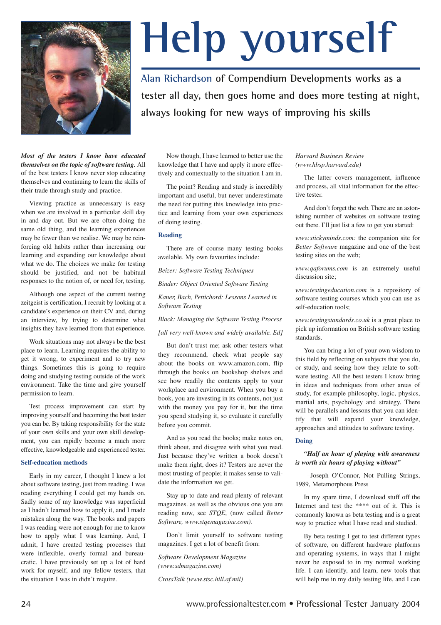

# **Help yourself**

**Alan Richardson of Compendium Developments works as a tester all day, then goes home and does more testing at night, always looking for new ways of improving his skills**

*Most of the testers I know have educated themselves on the topic of software testing.* All of the best testers I know never stop educating themselves and continuing to learn the skills of their trade through study and practice.

Viewing practice as unnecessary is easy when we are involved in a particular skill day in and day out. But we are often doing the same old thing, and the learning experiences may be fewer than we realise. We may be reinforcing old habits rather than increasing our learning and expanding our knowledge about what we do. The choices we make for testing should be justified, and not be habitual responses to the notion of, or need for, testing.

Although one aspect of the current testing zeitgeist is certification, I recruit by looking at a candidate's experience on their CV and, during an interview, by trying to determine what insights they have learned from that experience.

Work situations may not always be the best place to learn. Learning requires the ability to get it wrong, to experiment and to try new things. Sometimes this is going to require doing and studying testing outside of the work environment. Take the time and give yourself permission to learn.

Test process improvement can start by improving yourself and becoming the best tester you can be. By taking responsibility for the state of your own skills and your own skill development, you can rapidly become a much more effective, knowledgeable and experienced tester.

#### **Self-education methods**

Early in my career, I thought I knew a lot about software testing, just from reading. I was reading everything I could get my hands on. Sadly some of my knowledge was superficial as I hadn't learned how to apply it, and I made mistakes along the way. The books and papers I was reading were not enough for me to know how to apply what I was learning. And, I admit, I have created testing processes that were inflexible, overly formal and bureaucratic. I have previously set up a lot of hard work for myself, and my fellow testers, that the situation I was in didn't require.

Now though, I have learned to better use the knowledge that I have and apply it more effectively and contextually to the situation I am in.

The point? Reading and study is incredibly important and useful, but never underestimate the need for putting this knowledge into practice and learning from your own experiences of doing testing.

#### **Reading**

There are of course many testing books available. My own favourites include:

*Beizer: Software Testing Techniques*

*Binder: Object Oriented Software Testing*

*Kaner, Bach, Pettichord: Lessons Learned in Software Testing*

*Black: Managing the Software Testing Process*

*[all very well-known and widely available. Ed]*

But don't trust me; ask other testers what they recommend, check what people say about the books on www.amazon.com, flip through the books on bookshop shelves and see how readily the contents apply to your workplace and environment. When you buy a book, you are investing in its contents, not just with the money you pay for it, but the time you spend studying it, so evaluate it carefully before you commit.

And as you read the books; make notes on, think about, and disagree with what you read. Just because they've written a book doesn't make them right, does it? Testers are never the most trusting of people; it makes sense to validate the information we get.

Stay up to date and read plenty of relevant magazines. as well as the obvious one you are reading now, see *STQE*, (now called *Better Software, www.stqemagazine.com).*

Don't limit yourself to software testing magazines. I get a lot of benefit from:

*Software Development Magazine (www.sdmagazine.com)*

*CrossTalk (www.stsc.hill.af.mil)*

*Harvard Business Review (www.hbsp.harvard.edu)*

The latter covers management, influence and process, all vital information for the effective tester.

And don't forget the web. There are an astonishing number of websites on software testing out there. I'll just list a few to get you started:

*www.stickyminds.com:* the companion site for *Better Software* magazine and one of the best testing sites on the web;

*www.qaforums.com* is an extremely useful discussion site;

*www.testingeducation.com* is a repository of software testing courses which you can use as self-education tools;

*www.testingstandards.co.uk* is a great place to pick up information on British software testing standards.

You can bring a lot of your own wisdom to this field by reflecting on subjects that you do, or study, and seeing how they relate to software testing. All the best testers I know bring in ideas and techniques from other areas of study, for example philosophy, logic, physics, martial arts, psychology and strategy. There will be parallels and lessons that you can identify that will expand your knowledge, approaches and attitudes to software testing.

#### **Doing**

# *"Half an hour of playing with awareness is worth six hours of playing without"*

–Joseph O'Connor, Not Pulling Strings, 1989, Metamorphous Press

In my spare time, I download stuff off the Internet and test the \*\*\*\* out of it. This is commonly known as beta testing and is a great way to practice what I have read and studied.

By beta testing I get to test different types of software, on different hardware platforms and operating systems, in ways that I might never be exposed to in my normal working life. I can identify, and learn, new tools that will help me in my daily testing life, and I can